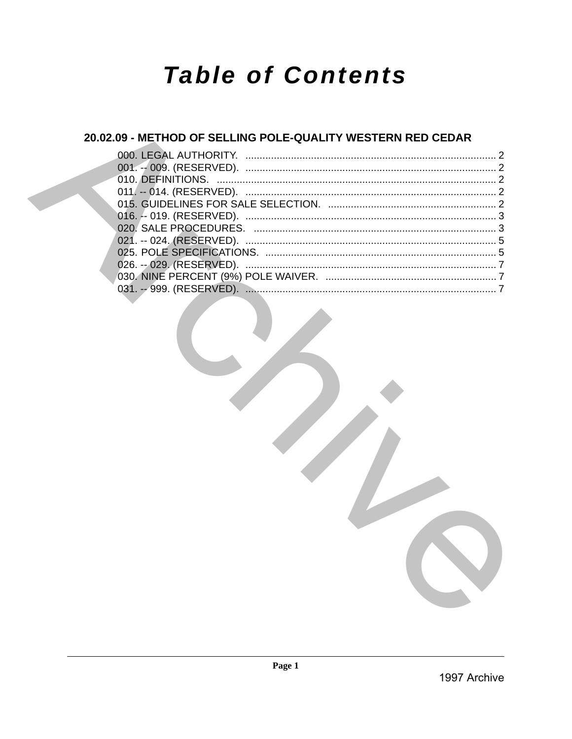# **Table of Contents**

## 20.02.09 - METHOD OF SELLING POLE-QUALITY WESTERN RED CEDAR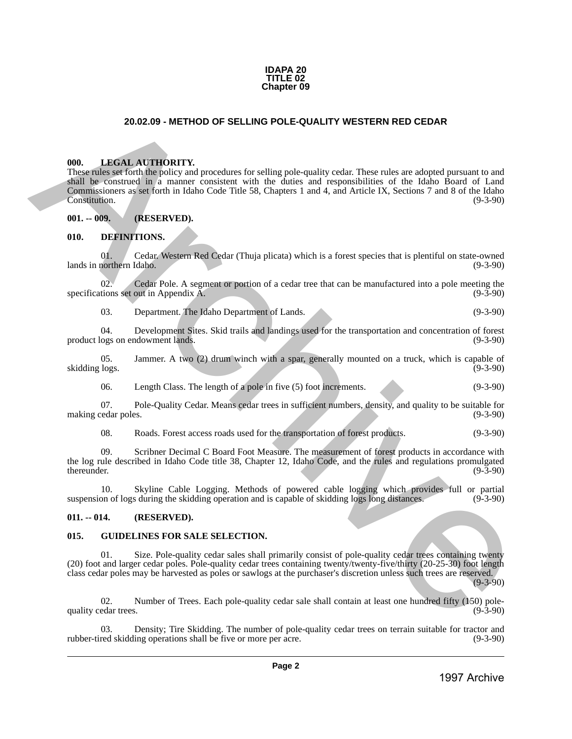#### **IDAPA 20 TITLE 02 Chapter 09**

#### **20.02.09 - METHOD OF SELLING POLE-QUALITY WESTERN RED CEDAR**

#### <span id="page-1-1"></span>**000. LEGAL AUTHORITY.**

<span id="page-1-0"></span>These rules set forth the policy and procedures for selling pole-quality cedar. These rules are adopted pursuant to and shall be construed in a manner consistent with the duties and responsibilities of the Idaho Board of Land Commissioners as set forth in Idaho Code Title 58, Chapters 1 and 4, and Article IX, Sections 7 and 8 of the Idaho Constitution. (9-3-90) **20.02.09 • METHOD OF SELLING POLE-QUALITY WESTERN RED CEDAR<br>
1998.** LINESIA ATTICORTY.<br>
These size and interesting procedure is due that probe that the six archives are adopted parents to small be visual to the simulate

#### <span id="page-1-2"></span>**001. -- 009. (RESERVED).**

#### <span id="page-1-3"></span>**010. DEFINITIONS.**

01. Cedar. Western Red Cedar (Thuja plicata) which is a forest species that is plentiful on state-owned lands in northern Idaho.

02. Cedar Pole. A segment or portion of a cedar tree that can be manufactured into a pole meeting the tions set out in Appendix A. (9-3-90) specifications set out in Appendix A.

03. Department. The Idaho Department of Lands. (9-3-90)

04. Development Sites. Skid trails and landings used for the transportation and concentration of forest product logs on endowment lands.

05. Jammer. A two (2) drum winch with a spar, generally mounted on a truck, which is capable of logs. (9-3-90) skidding logs.

06. Length Class. The length of a pole in five (5) foot increments. (9-3-90)

07. Pole-Quality Cedar. Means cedar trees in sufficient numbers, density, and quality to be suitable for edar poles. (9-3-90) making cedar poles.

08. Roads. Forest access roads used for the transportation of forest products. (9-3-90)

09. Scribner Decimal C Board Foot Measure. The measurement of forest products in accordance with the log rule described in Idaho Code title 38, Chapter 12, Idaho Code, and the rules and regulations promulgated thereunder.  $(9-3-90)$ 

10. Skyline Cable Logging. Methods of powered cable logging which provides full or partial suspension of logs during the skidding operation and is capable of skidding logs long distances.

#### <span id="page-1-4"></span>**011. -- 014. (RESERVED).**

#### <span id="page-1-5"></span>**015. GUIDELINES FOR SALE SELECTION.**

01. Size. Pole-quality cedar sales shall primarily consist of pole-quality cedar trees containing twenty (20) foot and larger cedar poles. Pole-quality cedar trees containing twenty/twenty-five/thirty (20-25-30) foot length class cedar poles may be harvested as poles or sawlogs at the purchaser's discretion unless such trees are reserved.  $(9-3-90)$ 

02. Number of Trees. Each pole-quality cedar sale shall contain at least one hundred fifty (150) pole-<br>edar trees. (9-3-90) quality cedar trees.

03. Density; Tire Skidding. The number of pole-quality cedar trees on terrain suitable for tractor and rubber-tired skidding operations shall be five or more per acre. (9-3-90)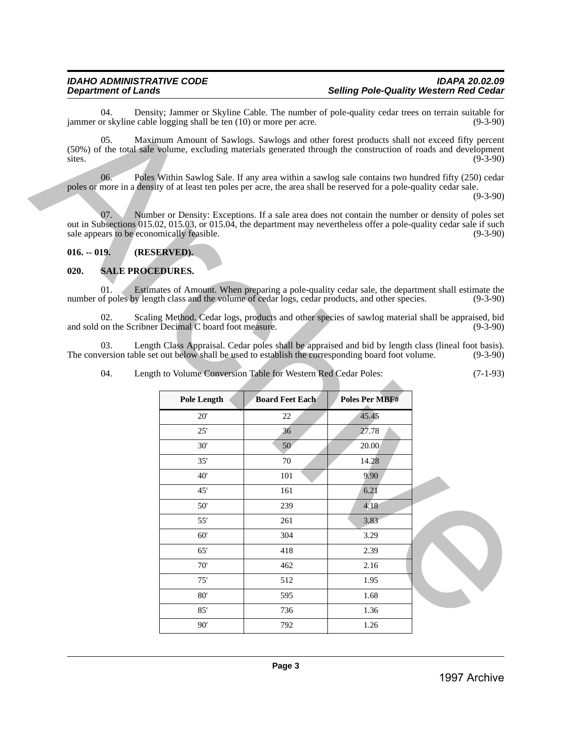## <span id="page-2-0"></span>**016. -- 019. (RESERVED).**

#### <span id="page-2-1"></span>**020. SALE PROCEDURES.**

| Maximum Amount of Sawlogs. Sawlogs and other forest products shall not exceed fifty percent<br>(50%) of the total sale volume, excluding materials generated through the construction of roads and development<br>Poles Within Sawlog Sale. If any area within a sawlog sale contains two hundred fifty (250) cedar<br>poles or more in a density of at least ten poles per acre, the area shall be reserved for a pole-quality cedar sale.<br>Number or Density: Exceptions. If a sale area does not contain the number or density of poles set<br>out in Subsections 015.02, 015.03, or 015.04, the department may nevertheless offer a pole-quality cedar sale if such<br>sale appears to be economically feasible. |                         |                                                        | $(9-3-90)$<br>$(9-3-90)$                                                                                                                                                                                                                                                                                                                                                                                                                                                                                                                                                                 |
|------------------------------------------------------------------------------------------------------------------------------------------------------------------------------------------------------------------------------------------------------------------------------------------------------------------------------------------------------------------------------------------------------------------------------------------------------------------------------------------------------------------------------------------------------------------------------------------------------------------------------------------------------------------------------------------------------------------------|-------------------------|--------------------------------------------------------|------------------------------------------------------------------------------------------------------------------------------------------------------------------------------------------------------------------------------------------------------------------------------------------------------------------------------------------------------------------------------------------------------------------------------------------------------------------------------------------------------------------------------------------------------------------------------------------|
|                                                                                                                                                                                                                                                                                                                                                                                                                                                                                                                                                                                                                                                                                                                        |                         |                                                        |                                                                                                                                                                                                                                                                                                                                                                                                                                                                                                                                                                                          |
|                                                                                                                                                                                                                                                                                                                                                                                                                                                                                                                                                                                                                                                                                                                        |                         |                                                        |                                                                                                                                                                                                                                                                                                                                                                                                                                                                                                                                                                                          |
|                                                                                                                                                                                                                                                                                                                                                                                                                                                                                                                                                                                                                                                                                                                        |                         |                                                        | $(9-3-90)$                                                                                                                                                                                                                                                                                                                                                                                                                                                                                                                                                                               |
| (RESERVED).                                                                                                                                                                                                                                                                                                                                                                                                                                                                                                                                                                                                                                                                                                            |                         |                                                        |                                                                                                                                                                                                                                                                                                                                                                                                                                                                                                                                                                                          |
|                                                                                                                                                                                                                                                                                                                                                                                                                                                                                                                                                                                                                                                                                                                        |                         |                                                        |                                                                                                                                                                                                                                                                                                                                                                                                                                                                                                                                                                                          |
|                                                                                                                                                                                                                                                                                                                                                                                                                                                                                                                                                                                                                                                                                                                        |                         |                                                        |                                                                                                                                                                                                                                                                                                                                                                                                                                                                                                                                                                                          |
|                                                                                                                                                                                                                                                                                                                                                                                                                                                                                                                                                                                                                                                                                                                        |                         |                                                        | $(9-3-90)$                                                                                                                                                                                                                                                                                                                                                                                                                                                                                                                                                                               |
|                                                                                                                                                                                                                                                                                                                                                                                                                                                                                                                                                                                                                                                                                                                        |                         |                                                        | $(9-3-90)$                                                                                                                                                                                                                                                                                                                                                                                                                                                                                                                                                                               |
|                                                                                                                                                                                                                                                                                                                                                                                                                                                                                                                                                                                                                                                                                                                        |                         |                                                        | $(9-3-90)$                                                                                                                                                                                                                                                                                                                                                                                                                                                                                                                                                                               |
|                                                                                                                                                                                                                                                                                                                                                                                                                                                                                                                                                                                                                                                                                                                        |                         |                                                        | $(7-1-93)$                                                                                                                                                                                                                                                                                                                                                                                                                                                                                                                                                                               |
| <b>Pole Length</b>                                                                                                                                                                                                                                                                                                                                                                                                                                                                                                                                                                                                                                                                                                     | <b>Board Feet Each</b>  | Poles Per MBF#                                         |                                                                                                                                                                                                                                                                                                                                                                                                                                                                                                                                                                                          |
| 20'                                                                                                                                                                                                                                                                                                                                                                                                                                                                                                                                                                                                                                                                                                                    | 22                      | 45.45                                                  |                                                                                                                                                                                                                                                                                                                                                                                                                                                                                                                                                                                          |
| 25'                                                                                                                                                                                                                                                                                                                                                                                                                                                                                                                                                                                                                                                                                                                    | 36                      | 27.78                                                  |                                                                                                                                                                                                                                                                                                                                                                                                                                                                                                                                                                                          |
| 30'                                                                                                                                                                                                                                                                                                                                                                                                                                                                                                                                                                                                                                                                                                                    | 50                      | 20.00                                                  |                                                                                                                                                                                                                                                                                                                                                                                                                                                                                                                                                                                          |
| 35'                                                                                                                                                                                                                                                                                                                                                                                                                                                                                                                                                                                                                                                                                                                    | 70                      | 14.28                                                  |                                                                                                                                                                                                                                                                                                                                                                                                                                                                                                                                                                                          |
| 40'                                                                                                                                                                                                                                                                                                                                                                                                                                                                                                                                                                                                                                                                                                                    | 101                     | 9.90                                                   |                                                                                                                                                                                                                                                                                                                                                                                                                                                                                                                                                                                          |
| 45'                                                                                                                                                                                                                                                                                                                                                                                                                                                                                                                                                                                                                                                                                                                    | 161                     | 6.21                                                   |                                                                                                                                                                                                                                                                                                                                                                                                                                                                                                                                                                                          |
| 50'                                                                                                                                                                                                                                                                                                                                                                                                                                                                                                                                                                                                                                                                                                                    | 239                     | 4.18                                                   |                                                                                                                                                                                                                                                                                                                                                                                                                                                                                                                                                                                          |
| 55'                                                                                                                                                                                                                                                                                                                                                                                                                                                                                                                                                                                                                                                                                                                    | 261                     | 3.83                                                   |                                                                                                                                                                                                                                                                                                                                                                                                                                                                                                                                                                                          |
| 60'                                                                                                                                                                                                                                                                                                                                                                                                                                                                                                                                                                                                                                                                                                                    | 304                     | 3.29                                                   |                                                                                                                                                                                                                                                                                                                                                                                                                                                                                                                                                                                          |
|                                                                                                                                                                                                                                                                                                                                                                                                                                                                                                                                                                                                                                                                                                                        | 418                     | 2.39                                                   |                                                                                                                                                                                                                                                                                                                                                                                                                                                                                                                                                                                          |
| 65'                                                                                                                                                                                                                                                                                                                                                                                                                                                                                                                                                                                                                                                                                                                    |                         |                                                        |                                                                                                                                                                                                                                                                                                                                                                                                                                                                                                                                                                                          |
| 70'                                                                                                                                                                                                                                                                                                                                                                                                                                                                                                                                                                                                                                                                                                                    | 462                     | 2.16                                                   |                                                                                                                                                                                                                                                                                                                                                                                                                                                                                                                                                                                          |
| 75'                                                                                                                                                                                                                                                                                                                                                                                                                                                                                                                                                                                                                                                                                                                    | 512                     | 1.95                                                   |                                                                                                                                                                                                                                                                                                                                                                                                                                                                                                                                                                                          |
| 80'                                                                                                                                                                                                                                                                                                                                                                                                                                                                                                                                                                                                                                                                                                                    | 595                     | 1.68                                                   |                                                                                                                                                                                                                                                                                                                                                                                                                                                                                                                                                                                          |
| 85'                                                                                                                                                                                                                                                                                                                                                                                                                                                                                                                                                                                                                                                                                                                    | 736                     | 1.36                                                   |                                                                                                                                                                                                                                                                                                                                                                                                                                                                                                                                                                                          |
| 90'                                                                                                                                                                                                                                                                                                                                                                                                                                                                                                                                                                                                                                                                                                                    | 792                     | 1.26                                                   |                                                                                                                                                                                                                                                                                                                                                                                                                                                                                                                                                                                          |
|                                                                                                                                                                                                                                                                                                                                                                                                                                                                                                                                                                                                                                                                                                                        |                         |                                                        |                                                                                                                                                                                                                                                                                                                                                                                                                                                                                                                                                                                          |
|                                                                                                                                                                                                                                                                                                                                                                                                                                                                                                                                                                                                                                                                                                                        | <b>SALE PROCEDURES.</b> | and sold on the Scribner Decimal C board foot measure. | Estimates of Amount. When preparing a pole-quality cedar sale, the department shall estimate the<br>number of poles by length class and the volume of cedar logs, cedar products, and other species.<br>Scaling Method. Cedar logs, products and other species of sawlog material shall be appraised, bid<br>Length Class Appraisal. Cedar poles shall be appraised and bid by length class (lineal foot basis).<br>The conversion table set out below shall be used to establish the corresponding board foot volume.<br>Length to Volume Conversion Table for Western Red Cedar Poles: |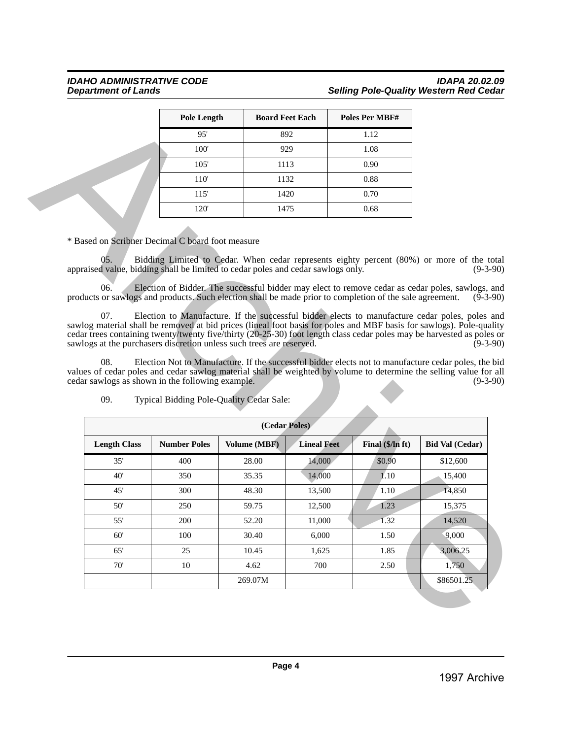## *IDAHO ADMINISTRATIVE CODE IDAPA 20.02.09* **Selling Pole-Quality Western Red Cedar**

| <b>Pole Length</b> | <b>Board Feet Each</b> | <b>Poles Per MBF#</b> |
|--------------------|------------------------|-----------------------|
| 95'                | 892                    | 1.12                  |
| 100'               | 929                    | 1.08                  |
| 105'               | 1113                   | 0.90                  |
| 110'               | 1132                   | 0.88                  |
| 115'               | 1420                   | 0.70                  |
| 120'               | 1475                   | 0.68                  |

|                                                                                                                                                                                                                                                                                                                                                                                                                                                                                                         |                     | <b>Pole Length</b><br><b>Board Feet Each</b> |                    | <b>Poles Per MBF#</b>                                                                                                                                                                         |                                               |
|---------------------------------------------------------------------------------------------------------------------------------------------------------------------------------------------------------------------------------------------------------------------------------------------------------------------------------------------------------------------------------------------------------------------------------------------------------------------------------------------------------|---------------------|----------------------------------------------|--------------------|-----------------------------------------------------------------------------------------------------------------------------------------------------------------------------------------------|-----------------------------------------------|
|                                                                                                                                                                                                                                                                                                                                                                                                                                                                                                         | 95'                 | 892                                          |                    | 1.12                                                                                                                                                                                          |                                               |
|                                                                                                                                                                                                                                                                                                                                                                                                                                                                                                         | 100'                | 929                                          |                    | 1.08                                                                                                                                                                                          |                                               |
|                                                                                                                                                                                                                                                                                                                                                                                                                                                                                                         | 105'                | 1113                                         |                    | 0.90                                                                                                                                                                                          |                                               |
|                                                                                                                                                                                                                                                                                                                                                                                                                                                                                                         | 110'                | 1132                                         |                    | 0.88                                                                                                                                                                                          |                                               |
|                                                                                                                                                                                                                                                                                                                                                                                                                                                                                                         | 115'                | 1420                                         |                    | 0.70                                                                                                                                                                                          |                                               |
|                                                                                                                                                                                                                                                                                                                                                                                                                                                                                                         | 120'                | 1475                                         |                    | 0.68                                                                                                                                                                                          |                                               |
| * Based on Scribner Decimal C board foot measure<br>05.<br>appraised value, bidding shall be limited to cedar poles and cedar sawlogs only.<br>06.                                                                                                                                                                                                                                                                                                                                                      |                     |                                              |                    | Bidding Limited to Cedar. When cedar represents eighty percent (80%) or more of the total<br>Election of Bidder. The successful bidder may elect to remove cedar as cedar poles, sawlogs, and | $(9-3-90)$                                    |
| 07.                                                                                                                                                                                                                                                                                                                                                                                                                                                                                                     |                     |                                              |                    | Election to Manufacture. If the successful bidder elects to manufacture cedar poles, poles and                                                                                                | $(9-3-90)$                                    |
| 08.<br>09.                                                                                                                                                                                                                                                                                                                                                                                                                                                                                              |                     | Typical Bidding Pole-Quality Cedar Sale:     |                    | Election Not to Manufacture. If the successful bidder elects not to manufacture cedar poles, the bid                                                                                          |                                               |
|                                                                                                                                                                                                                                                                                                                                                                                                                                                                                                         |                     | (Cedar Poles)                                |                    |                                                                                                                                                                                               |                                               |
| <b>Length Class</b>                                                                                                                                                                                                                                                                                                                                                                                                                                                                                     | <b>Number Poles</b> | Volume (MBF)                                 | <b>Lineal Feet</b> | Final (\$/In ft)                                                                                                                                                                              |                                               |
| 35'                                                                                                                                                                                                                                                                                                                                                                                                                                                                                                     | 400                 | 28.00                                        | 14,000             | \$0.90                                                                                                                                                                                        | \$12,600                                      |
| 40'                                                                                                                                                                                                                                                                                                                                                                                                                                                                                                     | 350                 | 35.35                                        | 14,000             | 1.10                                                                                                                                                                                          | 15,400                                        |
| 45'                                                                                                                                                                                                                                                                                                                                                                                                                                                                                                     | 300                 | 48.30                                        | 13,500             | 1.10                                                                                                                                                                                          | 14,850                                        |
| sawlog material shall be removed at bid prices (lineal foot basis for poles and MBF basis for sawlogs). Pole-quality<br>cedar trees containing twenty/twenty five/thirty (20-25-30) foot length class cedar poles may be harvested as poles or<br>sawlogs at the purchasers discretion unless such trees are reserved.<br>values of cedar poles and cedar sawlog material shall be weighted by volume to determine the selling value for all<br>cedar sawlogs as shown in the following example.<br>50' | 250                 | 59.75                                        | 12,500             | 1.23                                                                                                                                                                                          | 15,375                                        |
| 55'                                                                                                                                                                                                                                                                                                                                                                                                                                                                                                     | 200                 | 52.20                                        | 11,000             | 1.32                                                                                                                                                                                          | 14,520                                        |
| 60'                                                                                                                                                                                                                                                                                                                                                                                                                                                                                                     | 100                 | 30.40                                        | 6,000              | 1.50                                                                                                                                                                                          | 9,000                                         |
| 65'                                                                                                                                                                                                                                                                                                                                                                                                                                                                                                     | 25                  | 10.45                                        | 1,625              | 1.85                                                                                                                                                                                          | 3,006.25                                      |
| 70'                                                                                                                                                                                                                                                                                                                                                                                                                                                                                                     | $10\,$              | 4.62                                         | 700                | 2.50                                                                                                                                                                                          | $(9-3-90)$<br><b>Bid Val (Cedar)</b><br>1,750 |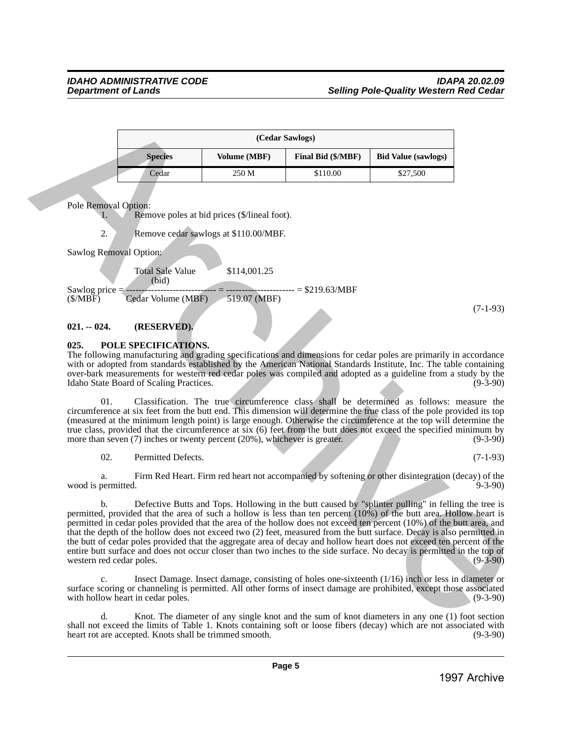|                |                     | (Cedar Sawlogs)    |                            |
|----------------|---------------------|--------------------|----------------------------|
| <b>Species</b> | <b>Volume (MBF)</b> | Final Bid (\$/MBF) | <b>Bid Value (sawlogs)</b> |
| Cedar          | 250 M               | \$110.00           | \$27,500                   |

Pole Removal Option:

Remove poles at bid prices (\$/lineal foot).

2. Remove cedar sawlogs at \$110.00/MBF.

Sawlog Removal Option:

Total Sale Value \$114,001.25 (bid) Sawlog price = ----------------------------- = ---------------------- = \$219.63/MBF (\$/MBF) Cedar Volume (MBF) 519.07 (MBF)

(7-1-93)

#### <span id="page-4-0"></span>**021. -- 024. (RESERVED).**

#### <span id="page-4-1"></span>**025. POLE SPECIFICATIONS.**

The following manufacturing and grading specifications and dimensions for cedar poles are primarily in accordance with or adopted from standards established by the American National Standards Institute, Inc. The table containing over-bark measurements for western red cedar poles was compiled and adopted as a guideline from a study by the Idaho State Board of Scaling Practices.

01. Classification. The true circumference class shall be determined as follows: measure the circumference at six feet from the butt end. This dimension will determine the true class of the pole provided its top (measured at the minimum length point) is large enough. Otherwise the circumference at the top will determine the true class, provided that the circumference at six  $(6)$  feet from the butt does not exceed the specified minimum by more than seven  $(7)$  inches or twenty percent  $(20\%)$ , whichever is greater.  $(9-3-90)$ more than seven  $(7)$  inches or twenty percent  $(20\%)$ , whichever is greater.

02. Permitted Defects. (7-1-93)

a. Firm Red Heart. Firm red heart not accompanied by softening or other disintegration (decay) of the permitted wood is permitted.

b. Defective Butts and Tops. Hollowing in the butt caused by "splinter pulling" in felling the tree is permitted, provided that the area of such a hollow is less than ten percent (10%) of the butt area. Hollow heart is permitted in cedar poles provided that the area of the hollow does not exceed ten percent (10%) of the butt area, and that the depth of the hollow does not exceed two (2) feet, measured from the butt surface. Decay is also permitted in the butt of cedar poles provided that the aggregate area of decay and hollow heart does not exceed ten percent of the entire butt surface and does not occur closer than two inches to the side surface. No decay is permitted in the top of western red cedar poles. Column Standard Column Column Standard Column Standard Column Standard Column Column Standard Column Column Standard Column Column Standard Column Column Standard Column Column Standard Column Column Standard Column Colum

c. Insect Damage. Insect damage, consisting of holes one-sixteenth (1/16) inch or less in diameter or surface scoring or channeling is permitted. All other forms of insect damage are prohibited, except those associated with hollow heart in cedar poles. (9-3-90) with hollow heart in cedar poles.

d. Knot. The diameter of any single knot and the sum of knot diameters in any one (1) foot section shall not exceed the limits of Table 1. Knots containing soft or loose fibers (decay) which are not associated with heart rot are accepted. Knots shall be trimmed smooth. (9-3-90) heart rot are accepted. Knots shall be trimmed smooth.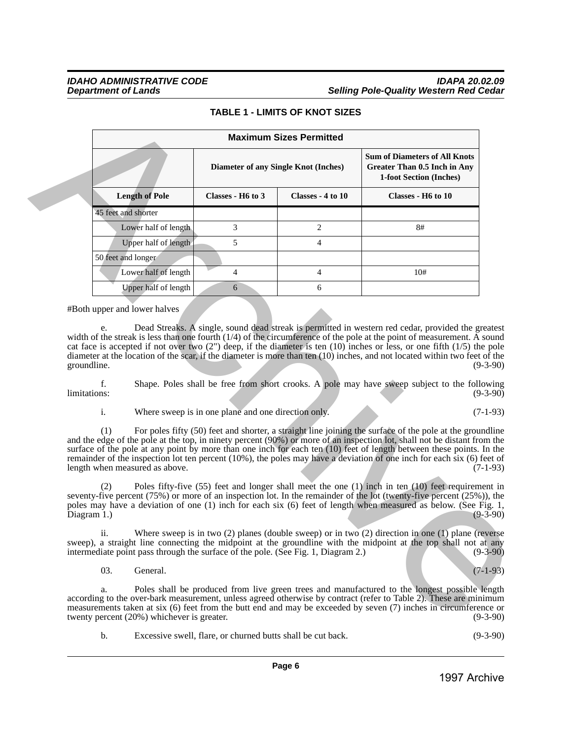## **TABLE 1 - LIMITS OF KNOT SIZES**

|              |                                                                                          |                                                             | <b>Maximum Sizes Permitted</b>              |                                                                                                                                                                                                                                                                                                                                                                                                                                                                                                            |
|--------------|------------------------------------------------------------------------------------------|-------------------------------------------------------------|---------------------------------------------|------------------------------------------------------------------------------------------------------------------------------------------------------------------------------------------------------------------------------------------------------------------------------------------------------------------------------------------------------------------------------------------------------------------------------------------------------------------------------------------------------------|
|              |                                                                                          |                                                             | <b>Diameter of any Single Knot (Inches)</b> | <b>Sum of Diameters of All Knots</b><br><b>Greater Than 0.5 Inch in Any</b><br>1-foot Section (Inches)                                                                                                                                                                                                                                                                                                                                                                                                     |
|              | <b>Length of Pole</b>                                                                    | Classes - H6 to 3                                           | Classes - 4 to 10                           | Classes - H6 to 10                                                                                                                                                                                                                                                                                                                                                                                                                                                                                         |
|              | 45 feet and shorter                                                                      |                                                             |                                             |                                                                                                                                                                                                                                                                                                                                                                                                                                                                                                            |
|              | Lower half of length                                                                     | 3                                                           | $\overline{2}$                              | 8#                                                                                                                                                                                                                                                                                                                                                                                                                                                                                                         |
|              | Upper half of length                                                                     | 5                                                           | $\overline{4}$                              |                                                                                                                                                                                                                                                                                                                                                                                                                                                                                                            |
|              | 50 feet and longer                                                                       |                                                             |                                             |                                                                                                                                                                                                                                                                                                                                                                                                                                                                                                            |
|              | Lower half of length                                                                     | 4                                                           | 4                                           | 10#                                                                                                                                                                                                                                                                                                                                                                                                                                                                                                        |
|              | Upper half of length                                                                     | 6                                                           | 6                                           |                                                                                                                                                                                                                                                                                                                                                                                                                                                                                                            |
|              | #Both upper and lower halves<br>e.                                                       |                                                             |                                             | Dead Streaks. A single, sound dead streak is permitted in western red cedar, provided the greatest<br>width of the streak is less than one fourth $(1/4)$ of the circumference of the pole at the point of measurement. $\tilde{A}$ sound                                                                                                                                                                                                                                                                  |
| groundline.  |                                                                                          |                                                             |                                             | cat face is accepted if not over two $(2)$ deep, if the diameter is ten $(10)$ inches or less, or one fifth $(1/5)$ the pole<br>diameter at the location of the scar, if the diameter is more than ten (10) inches, and not located within two feet of the<br>$(9-3-90)$                                                                                                                                                                                                                                   |
| limitations: | f.                                                                                       |                                                             |                                             | Shape. Poles shall be free from short crooks. A pole may have sweep subject to the following<br>$(9-3-90)$                                                                                                                                                                                                                                                                                                                                                                                                 |
|              | i.                                                                                       | Where sweep is in one plane and one direction only.         |                                             | $(7-1-93)$                                                                                                                                                                                                                                                                                                                                                                                                                                                                                                 |
|              | (1)<br>length when measured as above.                                                    |                                                             |                                             | For poles fifty (50) feet and shorter, a straight line joining the surface of the pole at the groundline<br>and the edge of the pole at the top, in ninety percent (90%) or more of an inspection lot, shall not be distant from the<br>surface of the pole at any point by more than one inch for each ten (10) feet of length between these points. In the<br>remainder of the inspection lot ten percent $(10\%)$ , the poles may have a deviation of one inch for each six $(6)$ feet of<br>$(7-1-93)$ |
| Diagram 1.)  | (2)                                                                                      |                                                             |                                             | Poles fifty-five $(55)$ feet and longer shall meet the one $(1)$ inch in ten $(10)$ feet requirement in<br>seventy-five percent $(75%)$ or more of an inspection lot. In the remainder of the lot (twenty-five percent $(25%)$ ), the<br>poles may have a deviation of one (1) inch for each six (6) feet of length when measured as below. (See Fig. 1,<br>$(9-3-90)$                                                                                                                                     |
|              | ii.<br>intermediate point pass through the surface of the pole. (See Fig. 1, Diagram 2.) |                                                             |                                             | Where sweep is in two $(2)$ planes (double sweep) or in two $(2)$ direction in one $(1)$ plane (reverse<br>sweep), a straight line connecting the midpoint at the groundline with the midpoint at the top shall not at any<br>$(9-3-90)$                                                                                                                                                                                                                                                                   |
|              | 03.<br>General.                                                                          |                                                             |                                             | $(7-1-93)$                                                                                                                                                                                                                                                                                                                                                                                                                                                                                                 |
|              | a.<br>twenty percent (20%) whichever is greater.                                         |                                                             |                                             | Poles shall be produced from live green trees and manufactured to the longest possible length<br>according to the over-bark measurement, unless agreed otherwise by contract (refer to Table 2). These are minimum<br>measurements taken at six (6) feet from the butt end and may be exceeded by seven (7) inches in circumference or<br>$(9-3-90)$                                                                                                                                                       |
|              | b.                                                                                       | Excessive swell, flare, or churned butts shall be cut back. |                                             | $(9-3-90)$                                                                                                                                                                                                                                                                                                                                                                                                                                                                                                 |
|              |                                                                                          |                                                             |                                             |                                                                                                                                                                                                                                                                                                                                                                                                                                                                                                            |